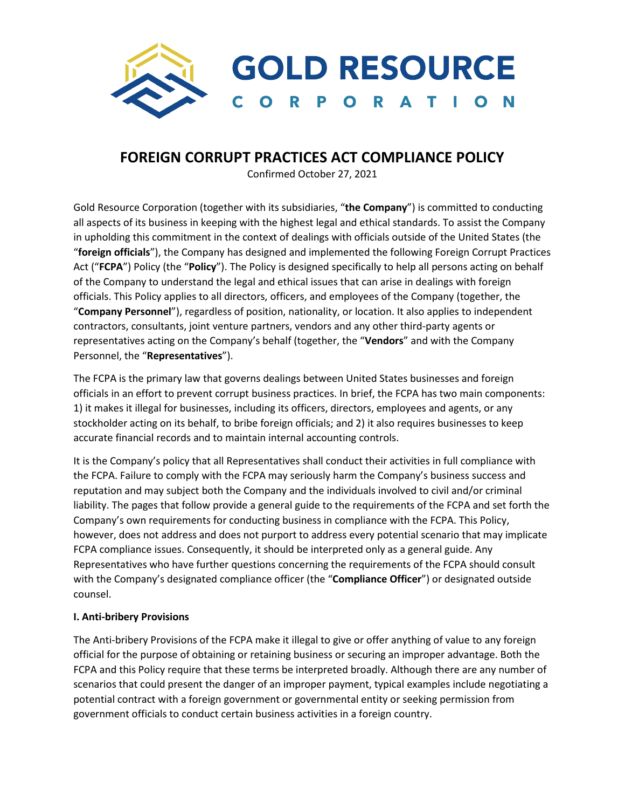

# **FOREIGN CORRUPT PRACTICES ACT COMPLIANCE POLICY**

Confirmed October 27, 2021

Gold Resource Corporation (together with its subsidiaries, "**the Company**") is committed to conducting all aspects of its business in keeping with the highest legal and ethical standards. To assist the Company in upholding this commitment in the context of dealings with officials outside of the United States (the "**foreign officials**"), the Company has designed and implemented the following Foreign Corrupt Practices Act ("**FCPA**") Policy (the "**Policy**"). The Policy is designed specifically to help all persons acting on behalf of the Company to understand the legal and ethical issues that can arise in dealings with foreign officials. This Policy applies to all directors, officers, and employees of the Company (together, the "**Company Personnel**"), regardless of position, nationality, or location. It also applies to independent contractors, consultants, joint venture partners, vendors and any other third-party agents or representatives acting on the Company's behalf (together, the "**Vendors**" and with the Company Personnel, the "**Representatives**").

The FCPA is the primary law that governs dealings between United States businesses and foreign officials in an effort to prevent corrupt business practices. In brief, the FCPA has two main components: 1) it makes it illegal for businesses, including its officers, directors, employees and agents, or any stockholder acting on its behalf, to bribe foreign officials; and 2) it also requires businesses to keep accurate financial records and to maintain internal accounting controls.

It is the Company's policy that all Representatives shall conduct their activities in full compliance with the FCPA. Failure to comply with the FCPA may seriously harm the Company's business success and reputation and may subject both the Company and the individuals involved to civil and/or criminal liability. The pages that follow provide a general guide to the requirements of the FCPA and set forth the Company's own requirements for conducting business in compliance with the FCPA. This Policy, however, does not address and does not purport to address every potential scenario that may implicate FCPA compliance issues. Consequently, it should be interpreted only as a general guide. Any Representatives who have further questions concerning the requirements of the FCPA should consult with the Company's designated compliance officer (the "**Compliance Officer**") or designated outside counsel.

## **I. Anti-bribery Provisions**

The Anti-bribery Provisions of the FCPA make it illegal to give or offer anything of value to any foreign official for the purpose of obtaining or retaining business or securing an improper advantage. Both the FCPA and this Policy require that these terms be interpreted broadly. Although there are any number of scenarios that could present the danger of an improper payment, typical examples include negotiating a potential contract with a foreign government or governmental entity or seeking permission from government officials to conduct certain business activities in a foreign country.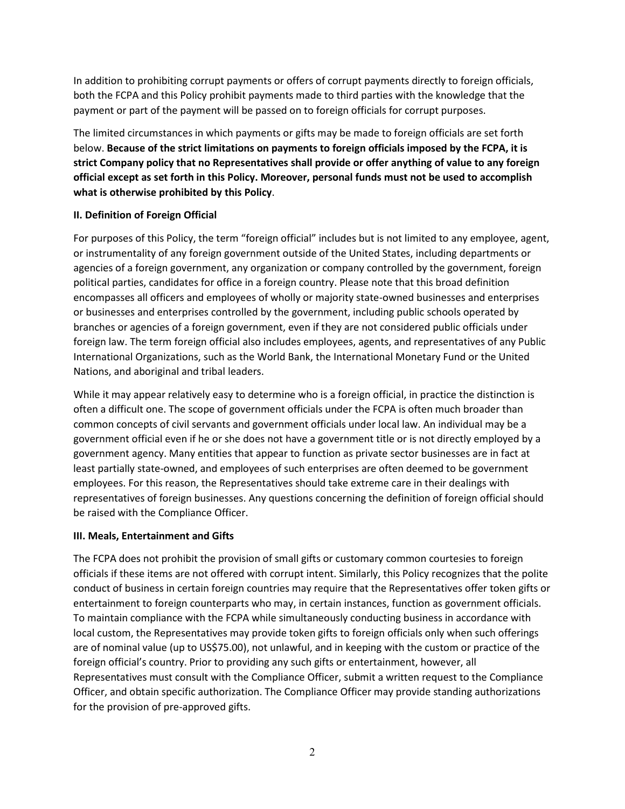In addition to prohibiting corrupt payments or offers of corrupt payments directly to foreign officials, both the FCPA and this Policy prohibit payments made to third parties with the knowledge that the payment or part of the payment will be passed on to foreign officials for corrupt purposes.

The limited circumstances in which payments or gifts may be made to foreign officials are set forth below. **Because of the strict limitations on payments to foreign officials imposed by the FCPA, it is strict Company policy that no Representatives shall provide or offer anything of value to any foreign official except as set forth in this Policy. Moreover, personal funds must not be used to accomplish what is otherwise prohibited by this Policy**.

## **II. Definition of Foreign Official**

For purposes of this Policy, the term "foreign official" includes but is not limited to any employee, agent, or instrumentality of any foreign government outside of the United States, including departments or agencies of a foreign government, any organization or company controlled by the government, foreign political parties, candidates for office in a foreign country. Please note that this broad definition encompasses all officers and employees of wholly or majority state-owned businesses and enterprises or businesses and enterprises controlled by the government, including public schools operated by branches or agencies of a foreign government, even if they are not considered public officials under foreign law. The term foreign official also includes employees, agents, and representatives of any Public International Organizations, such as the World Bank, the International Monetary Fund or the United Nations, and aboriginal and tribal leaders.

While it may appear relatively easy to determine who is a foreign official, in practice the distinction is often a difficult one. The scope of government officials under the FCPA is often much broader than common concepts of civil servants and government officials under local law. An individual may be a government official even if he or she does not have a government title or is not directly employed by a government agency. Many entities that appear to function as private sector businesses are in fact at least partially state-owned, and employees of such enterprises are often deemed to be government employees. For this reason, the Representatives should take extreme care in their dealings with representatives of foreign businesses. Any questions concerning the definition of foreign official should be raised with the Compliance Officer.

## **III. Meals, Entertainment and Gifts**

The FCPA does not prohibit the provision of small gifts or customary common courtesies to foreign officials if these items are not offered with corrupt intent. Similarly, this Policy recognizes that the polite conduct of business in certain foreign countries may require that the Representatives offer token gifts or entertainment to foreign counterparts who may, in certain instances, function as government officials. To maintain compliance with the FCPA while simultaneously conducting business in accordance with local custom, the Representatives may provide token gifts to foreign officials only when such offerings are of nominal value (up to US\$75.00), not unlawful, and in keeping with the custom or practice of the foreign official's country. Prior to providing any such gifts or entertainment, however, all Representatives must consult with the Compliance Officer, submit a written request to the Compliance Officer, and obtain specific authorization. The Compliance Officer may provide standing authorizations for the provision of pre-approved gifts.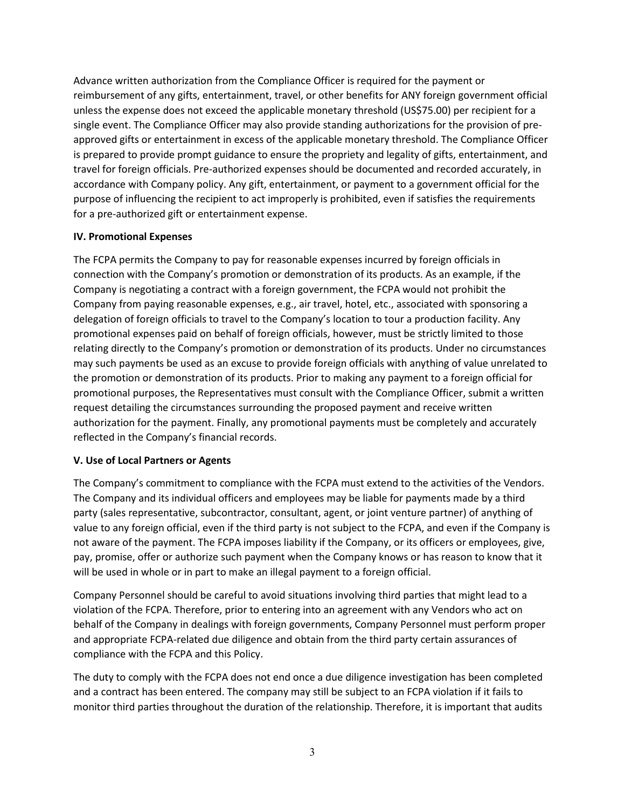Advance written authorization from the Compliance Officer is required for the payment or reimbursement of any gifts, entertainment, travel, or other benefits for ANY foreign government official unless the expense does not exceed the applicable monetary threshold (US\$75.00) per recipient for a single event. The Compliance Officer may also provide standing authorizations for the provision of preapproved gifts or entertainment in excess of the applicable monetary threshold. The Compliance Officer is prepared to provide prompt guidance to ensure the propriety and legality of gifts, entertainment, and travel for foreign officials. Pre-authorized expenses should be documented and recorded accurately, in accordance with Company policy. Any gift, entertainment, or payment to a government official for the purpose of influencing the recipient to act improperly is prohibited, even if satisfies the requirements for a pre-authorized gift or entertainment expense.

## **IV. Promotional Expenses**

The FCPA permits the Company to pay for reasonable expenses incurred by foreign officials in connection with the Company's promotion or demonstration of its products. As an example, if the Company is negotiating a contract with a foreign government, the FCPA would not prohibit the Company from paying reasonable expenses, e.g., air travel, hotel, etc., associated with sponsoring a delegation of foreign officials to travel to the Company's location to tour a production facility. Any promotional expenses paid on behalf of foreign officials, however, must be strictly limited to those relating directly to the Company's promotion or demonstration of its products. Under no circumstances may such payments be used as an excuse to provide foreign officials with anything of value unrelated to the promotion or demonstration of its products. Prior to making any payment to a foreign official for promotional purposes, the Representatives must consult with the Compliance Officer, submit a written request detailing the circumstances surrounding the proposed payment and receive written authorization for the payment. Finally, any promotional payments must be completely and accurately reflected in the Company's financial records.

## **V. Use of Local Partners or Agents**

The Company's commitment to compliance with the FCPA must extend to the activities of the Vendors. The Company and its individual officers and employees may be liable for payments made by a third party (sales representative, subcontractor, consultant, agent, or joint venture partner) of anything of value to any foreign official, even if the third party is not subject to the FCPA, and even if the Company is not aware of the payment. The FCPA imposes liability if the Company, or its officers or employees, give, pay, promise, offer or authorize such payment when the Company knows or has reason to know that it will be used in whole or in part to make an illegal payment to a foreign official.

Company Personnel should be careful to avoid situations involving third parties that might lead to a violation of the FCPA. Therefore, prior to entering into an agreement with any Vendors who act on behalf of the Company in dealings with foreign governments, Company Personnel must perform proper and appropriate FCPA-related due diligence and obtain from the third party certain assurances of compliance with the FCPA and this Policy.

The duty to comply with the FCPA does not end once a due diligence investigation has been completed and a contract has been entered. The company may still be subject to an FCPA violation if it fails to monitor third parties throughout the duration of the relationship. Therefore, it is important that audits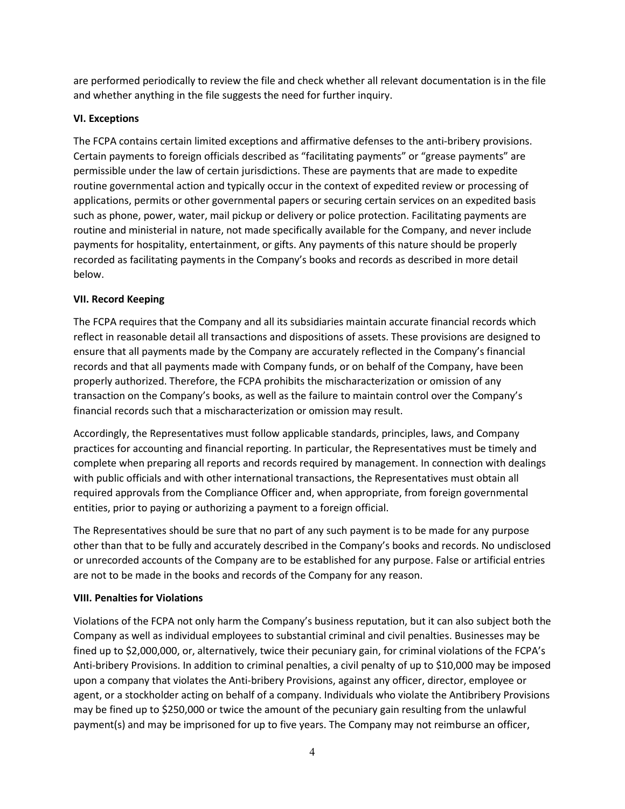are performed periodically to review the file and check whether all relevant documentation is in the file and whether anything in the file suggests the need for further inquiry.

# **VI. Exceptions**

The FCPA contains certain limited exceptions and affirmative defenses to the anti-bribery provisions. Certain payments to foreign officials described as "facilitating payments" or "grease payments" are permissible under the law of certain jurisdictions. These are payments that are made to expedite routine governmental action and typically occur in the context of expedited review or processing of applications, permits or other governmental papers or securing certain services on an expedited basis such as phone, power, water, mail pickup or delivery or police protection. Facilitating payments are routine and ministerial in nature, not made specifically available for the Company, and never include payments for hospitality, entertainment, or gifts. Any payments of this nature should be properly recorded as facilitating payments in the Company's books and records as described in more detail below.

## **VII. Record Keeping**

The FCPA requires that the Company and all its subsidiaries maintain accurate financial records which reflect in reasonable detail all transactions and dispositions of assets. These provisions are designed to ensure that all payments made by the Company are accurately reflected in the Company's financial records and that all payments made with Company funds, or on behalf of the Company, have been properly authorized. Therefore, the FCPA prohibits the mischaracterization or omission of any transaction on the Company's books, as well as the failure to maintain control over the Company's financial records such that a mischaracterization or omission may result.

Accordingly, the Representatives must follow applicable standards, principles, laws, and Company practices for accounting and financial reporting. In particular, the Representatives must be timely and complete when preparing all reports and records required by management. In connection with dealings with public officials and with other international transactions, the Representatives must obtain all required approvals from the Compliance Officer and, when appropriate, from foreign governmental entities, prior to paying or authorizing a payment to a foreign official.

The Representatives should be sure that no part of any such payment is to be made for any purpose other than that to be fully and accurately described in the Company's books and records. No undisclosed or unrecorded accounts of the Company are to be established for any purpose. False or artificial entries are not to be made in the books and records of the Company for any reason.

# **VIII. Penalties for Violations**

Violations of the FCPA not only harm the Company's business reputation, but it can also subject both the Company as well as individual employees to substantial criminal and civil penalties. Businesses may be fined up to \$2,000,000, or, alternatively, twice their pecuniary gain, for criminal violations of the FCPA's Anti-bribery Provisions. In addition to criminal penalties, a civil penalty of up to \$10,000 may be imposed upon a company that violates the Anti-bribery Provisions, against any officer, director, employee or agent, or a stockholder acting on behalf of a company. Individuals who violate the Antibribery Provisions may be fined up to \$250,000 or twice the amount of the pecuniary gain resulting from the unlawful payment(s) and may be imprisoned for up to five years. The Company may not reimburse an officer,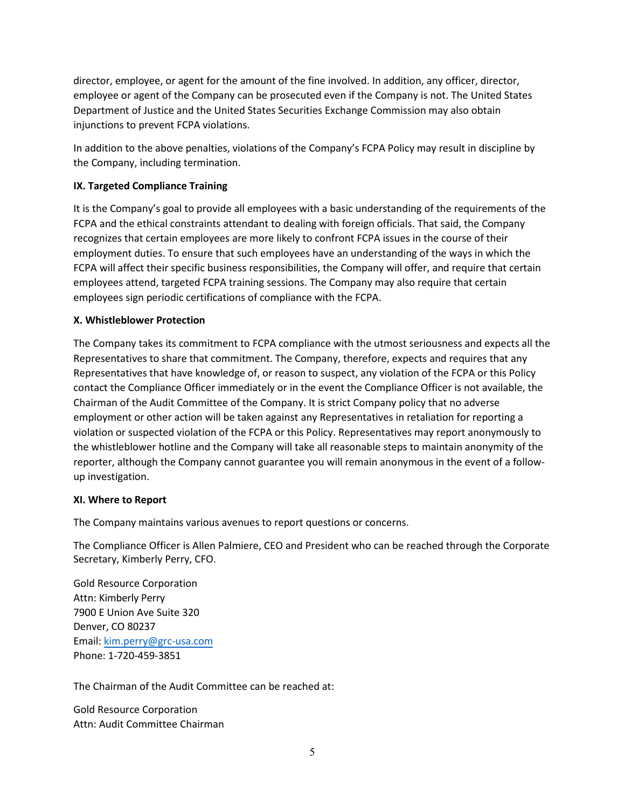employee or agent of the Company can be prosecuted even if the Company is not. The United States Department of Justice and the United States Securities Exchange Commission may also obtain injunctions to prevent FCPA violations. director, employee, or agent for the amount of the fine involved. In addition, any officer, director,

In addition to the above penalties, violations of the Company's FCPA Policy may result in discipline by the Company, including termination.

## **IX. Targeted Compliance Training**

It is the Company's goal to provide all employees with a basic understanding of the requirements of the FCPA and the ethical constraints attendant to dealing with foreign officials. That said, the Company recognizes that certain employees are more likely to confront FCPA issues in the course of their employment duties. To ensure that such employees have an understanding of the ways in which the FCPA will affect their specific business responsibilities, the Company will offer, and require that certain employees attend, targeted FCPA training sessions. The Company may also require that certain employees sign periodic certifications of compliance with the FCPA.

## **X. Whistleblower Protection**

The Company takes its commitment to FCPA compliance with the utmost seriousness and expects all the Representatives to share that commitment. The Company, therefore, expects and requires that any Representatives that have knowledge of, or reason to suspect, any violation of the FCPA or this Policy contact the Compliance Officer immediately or in the event the Compliance Officer is not available, the Chairman of the Audit Committee of the Company. It is strict Company policy that no adverse employment or other action will be taken against any Representatives in retaliation for reporting a violation or suspected violation of the FCPA or this Policy. Representatives may report anonymously to the whistleblower hotline and the Company will take all reasonable steps to maintain anonymity of the reporter, although the Company cannot guarantee you will remain anonymous in the event of a followup investigation.

## **XI. Where to Report**

The Company maintains various avenues to report questions or concerns.

The Compliance Officer is Allen Palmiere, CEO and President who can be reached through the Corporate Secretary, Kimberly Perry, CFO.

Gold Resource Corporation Attn: Kimberly Perry 7900 E Union [Ave Suite 320](mailto:ann.wilkinson@grc-usa.com) Denver, CO 80237 Email: kim.perry@grc-usa.com Phone: 1-720-459-3851

The Chairman of the Audit Committee can be reached at:

Gold Resource Corporation Attn: Audit Committee Chairman